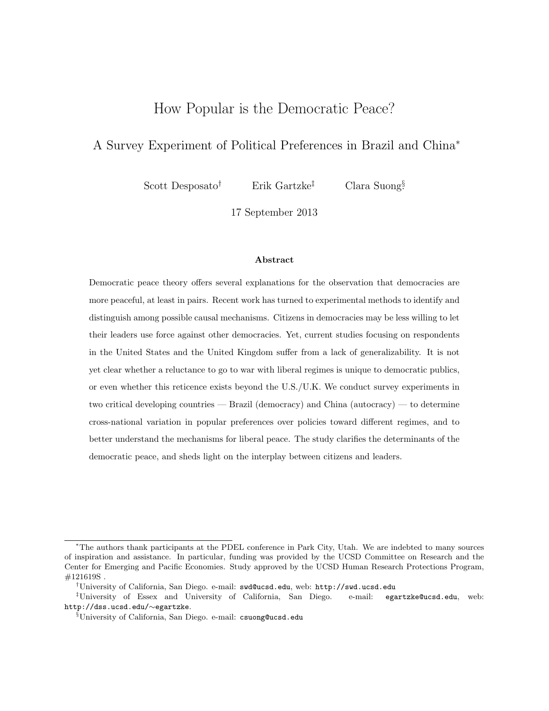# How Popular is the Democratic Peace?

# A Survey Experiment of Political Preferences in Brazil and China<sup>∗</sup>

Scott Desposato<sup>†</sup> Erik Gartzke<sup>‡</sup>

Clara Suong<sup>§</sup>

17 September 2013

#### Abstract

Democratic peace theory offers several explanations for the observation that democracies are more peaceful, at least in pairs. Recent work has turned to experimental methods to identify and distinguish among possible causal mechanisms. Citizens in democracies may be less willing to let their leaders use force against other democracies. Yet, current studies focusing on respondents in the United States and the United Kingdom suffer from a lack of generalizability. It is not yet clear whether a reluctance to go to war with liberal regimes is unique to democratic publics, or even whether this reticence exists beyond the U.S./U.K. We conduct survey experiments in two critical developing countries — Brazil (democracy) and China (autocracy) — to determine cross-national variation in popular preferences over policies toward different regimes, and to better understand the mechanisms for liberal peace. The study clarifies the determinants of the democratic peace, and sheds light on the interplay between citizens and leaders.

<sup>∗</sup>The authors thank participants at the PDEL conference in Park City, Utah. We are indebted to many sources of inspiration and assistance. In particular, funding was provided by the UCSD Committee on Research and the Center for Emerging and Pacific Economies. Study approved by the UCSD Human Research Protections Program, #121619S .

<sup>†</sup>University of California, San Diego. e-mail: swd@ucsd.edu, web: http://swd.ucsd.edu

<sup>‡</sup>University of Essex and University of California, San Diego. e-mail: egartzke@ucsd.edu, web: http://dss.ucsd.edu/∼egartzke.

<sup>§</sup>University of California, San Diego. e-mail: csuong@ucsd.edu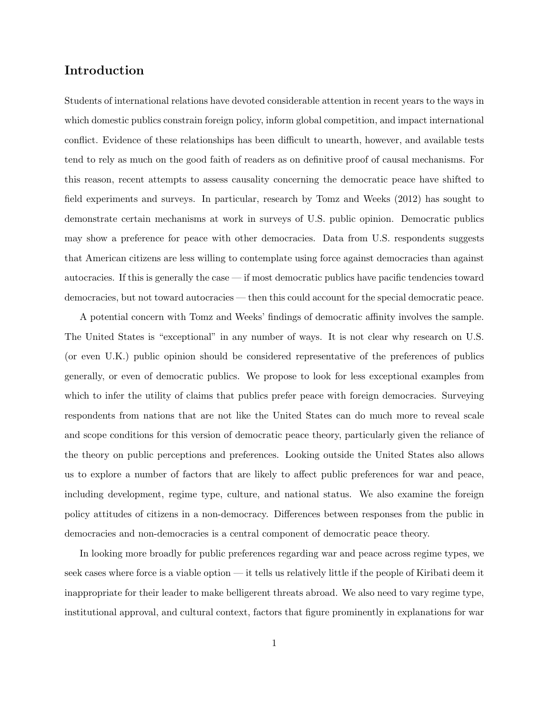### Introduction

Students of international relations have devoted considerable attention in recent years to the ways in which domestic publics constrain foreign policy, inform global competition, and impact international conflict. Evidence of these relationships has been difficult to unearth, however, and available tests tend to rely as much on the good faith of readers as on definitive proof of causal mechanisms. For this reason, recent attempts to assess causality concerning the democratic peace have shifted to field experiments and surveys. In particular, research by Tomz and Weeks (2012) has sought to demonstrate certain mechanisms at work in surveys of U.S. public opinion. Democratic publics may show a preference for peace with other democracies. Data from U.S. respondents suggests that American citizens are less willing to contemplate using force against democracies than against autocracies. If this is generally the case — if most democratic publics have pacific tendencies toward democracies, but not toward autocracies — then this could account for the special democratic peace.

A potential concern with Tomz and Weeks' findings of democratic affinity involves the sample. The United States is "exceptional" in any number of ways. It is not clear why research on U.S. (or even U.K.) public opinion should be considered representative of the preferences of publics generally, or even of democratic publics. We propose to look for less exceptional examples from which to infer the utility of claims that publics prefer peace with foreign democracies. Surveying respondents from nations that are not like the United States can do much more to reveal scale and scope conditions for this version of democratic peace theory, particularly given the reliance of the theory on public perceptions and preferences. Looking outside the United States also allows us to explore a number of factors that are likely to affect public preferences for war and peace, including development, regime type, culture, and national status. We also examine the foreign policy attitudes of citizens in a non-democracy. Differences between responses from the public in democracies and non-democracies is a central component of democratic peace theory.

In looking more broadly for public preferences regarding war and peace across regime types, we seek cases where force is a viable option — it tells us relatively little if the people of Kiribati deem it inappropriate for their leader to make belligerent threats abroad. We also need to vary regime type, institutional approval, and cultural context, factors that figure prominently in explanations for war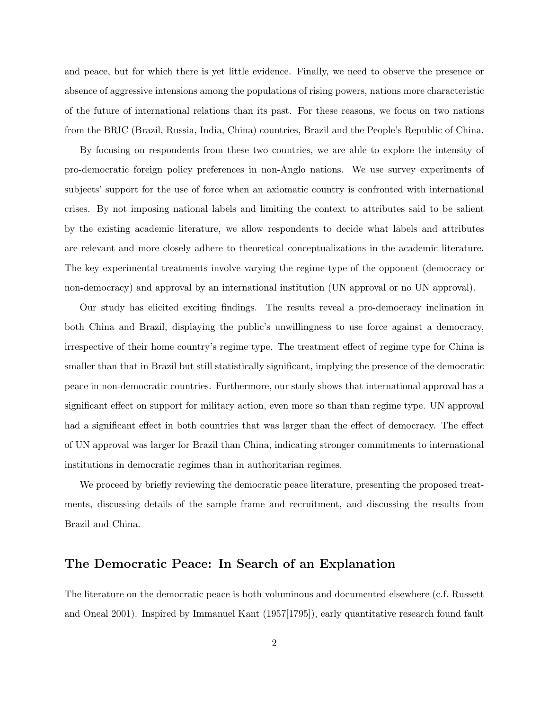and peace, but for which there is yet little evidence. Finally, we need to observe the presence or absence of aggressive intensions among the populations of rising powers, nations more characteristic of the future of international relations than its past. For these reasons, we focus on two nations from the BRIC (Brazil, Russia, India, China) countries, Brazil and the People's Republic of China.

By focusing on respondents from these two countries, we are able to explore the intensity of pro-democratic foreign policy preferences in non-Anglo nations. We use survey experiments of subjects' support for the use of force when an axiomatic country is confronted with international crises. By not imposing national labels and limiting the context to attributes said to be salient by the existing academic literature, we allow respondents to decide what labels and attributes are relevant and more closely adhere to theoretical conceptualizations in the academic literature. The key experimental treatments involve varying the regime type of the opponent (democracy or non-democracy) and approval by an international institution (UN approval or no UN approval).

Our study has elicited exciting findings. The results reveal a pro-democracy inclination in both China and Brazil, displaying the public's unwillingness to use force against a democracy, irrespective of their home country's regime type. The treatment effect of regime type for China is smaller than that in Brazil but still statistically significant, implying the presence of the democratic peace in non-democratic countries. Furthermore, our study shows that international approval has a significant effect on support for military action, even more so than than regime type. UN approval had a significant effect in both countries that was larger than the effect of democracy. The effect of UN approval was larger for Brazil than China, indicating stronger commitments to international institutions in democratic regimes than in authoritarian regimes.

We proceed by briefly reviewing the democratic peace literature, presenting the proposed treatments, discussing details of the sample frame and recruitment, and discussing the results from Brazil and China.

### The Democratic Peace: In Search of an Explanation

The literature on the democratic peace is both voluminous and documented elsewhere (c.f. Russett and Oneal 2001). Inspired by Immanuel Kant (1957[1795]), early quantitative research found fault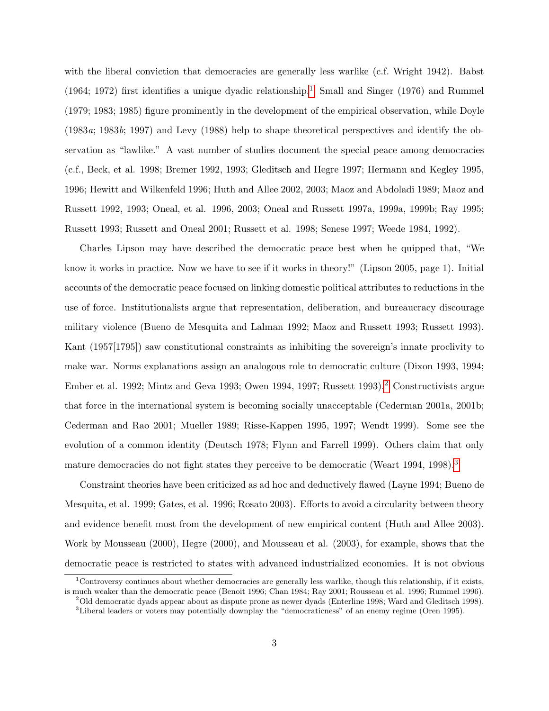with the liberal conviction that democracies are generally less warlike (c.f. Wright 1942). Babst  $(1964; 1972)$  $(1964; 1972)$  $(1964; 1972)$  first identifies a unique dyadic relationship.<sup>1</sup> Small and Singer (1976) and Rummel (1979; 1983; 1985) figure prominently in the development of the empirical observation, while Doyle (1983a; 1983b; 1997) and Levy (1988) help to shape theoretical perspectives and identify the observation as "lawlike." A vast number of studies document the special peace among democracies (c.f., Beck, et al. 1998; Bremer 1992, 1993; Gleditsch and Hegre 1997; Hermann and Kegley 1995, 1996; Hewitt and Wilkenfeld 1996; Huth and Allee 2002, 2003; Maoz and Abdoladi 1989; Maoz and Russett 1992, 1993; Oneal, et al. 1996, 2003; Oneal and Russett 1997a, 1999a, 1999b; Ray 1995; Russett 1993; Russett and Oneal 2001; Russett et al. 1998; Senese 1997; Weede 1984, 1992).

Charles Lipson may have described the democratic peace best when he quipped that, "We know it works in practice. Now we have to see if it works in theory!" (Lipson 2005, page 1). Initial accounts of the democratic peace focused on linking domestic political attributes to reductions in the use of force. Institutionalists argue that representation, deliberation, and bureaucracy discourage military violence (Bueno de Mesquita and Lalman 1992; Maoz and Russett 1993; Russett 1993). Kant (1957[1795]) saw constitutional constraints as inhibiting the sovereign's innate proclivity to make war. Norms explanations assign an analogous role to democratic culture (Dixon 1993, 1994; Ember et al. 199[2](#page-3-1); Mintz and Geva 1993; Owen 1994, 1997; Russett 1993).<sup>2</sup> Constructivists argue that force in the international system is becoming socially unacceptable (Cederman 2001a, 2001b; Cederman and Rao 2001; Mueller 1989; Risse-Kappen 1995, 1997; Wendt 1999). Some see the evolution of a common identity (Deutsch 1978; Flynn and Farrell 1999). Others claim that only mature democracies do not fight states they perceive to be democratic (Weart 1994, 1998).<sup>[3](#page-3-2)</sup>

Constraint theories have been criticized as ad hoc and deductively flawed (Layne 1994; Bueno de Mesquita, et al. 1999; Gates, et al. 1996; Rosato 2003). Efforts to avoid a circularity between theory and evidence benefit most from the development of new empirical content (Huth and Allee 2003). Work by Mousseau (2000), Hegre (2000), and Mousseau et al. (2003), for example, shows that the democratic peace is restricted to states with advanced industrialized economies. It is not obvious

<span id="page-3-0"></span><sup>1</sup>Controversy continues about whether democracies are generally less warlike, though this relationship, if it exists, is much weaker than the democratic peace (Benoit 1996; Chan 1984; Ray 2001; Rousseau et al. 1996; Rummel 1996).

<span id="page-3-2"></span><span id="page-3-1"></span><sup>2</sup>Old democratic dyads appear about as dispute prone as newer dyads (Enterline 1998; Ward and Gleditsch 1998). <sup>3</sup>Liberal leaders or voters may potentially downplay the "democraticness" of an enemy regime (Oren 1995).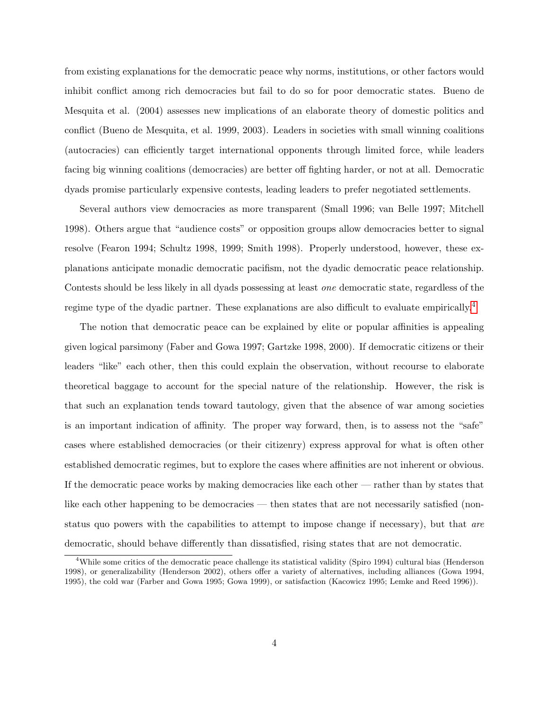from existing explanations for the democratic peace why norms, institutions, or other factors would inhibit conflict among rich democracies but fail to do so for poor democratic states. Bueno de Mesquita et al. (2004) assesses new implications of an elaborate theory of domestic politics and conflict (Bueno de Mesquita, et al. 1999, 2003). Leaders in societies with small winning coalitions (autocracies) can efficiently target international opponents through limited force, while leaders facing big winning coalitions (democracies) are better off fighting harder, or not at all. Democratic dyads promise particularly expensive contests, leading leaders to prefer negotiated settlements.

Several authors view democracies as more transparent (Small 1996; van Belle 1997; Mitchell 1998). Others argue that "audience costs" or opposition groups allow democracies better to signal resolve (Fearon 1994; Schultz 1998, 1999; Smith 1998). Properly understood, however, these explanations anticipate monadic democratic pacifism, not the dyadic democratic peace relationship. Contests should be less likely in all dyads possessing at least one democratic state, regardless of the regime type of the dyadic partner. These explanations are also difficult to evaluate empirically.<sup>[4](#page-4-0)</sup>

The notion that democratic peace can be explained by elite or popular affinities is appealing given logical parsimony (Faber and Gowa 1997; Gartzke 1998, 2000). If democratic citizens or their leaders "like" each other, then this could explain the observation, without recourse to elaborate theoretical baggage to account for the special nature of the relationship. However, the risk is that such an explanation tends toward tautology, given that the absence of war among societies is an important indication of affinity. The proper way forward, then, is to assess not the "safe" cases where established democracies (or their citizenry) express approval for what is often other established democratic regimes, but to explore the cases where affinities are not inherent or obvious. If the democratic peace works by making democracies like each other — rather than by states that like each other happening to be democracies — then states that are not necessarily satisfied (nonstatus quo powers with the capabilities to attempt to impose change if necessary), but that are democratic, should behave differently than dissatisfied, rising states that are not democratic.

<span id="page-4-0"></span><sup>&</sup>lt;sup>4</sup>While some critics of the democratic peace challenge its statistical validity (Spiro 1994) cultural bias (Henderson 1998), or generalizability (Henderson 2002), others offer a variety of alternatives, including alliances (Gowa 1994, 1995), the cold war (Farber and Gowa 1995; Gowa 1999), or satisfaction (Kacowicz 1995; Lemke and Reed 1996)).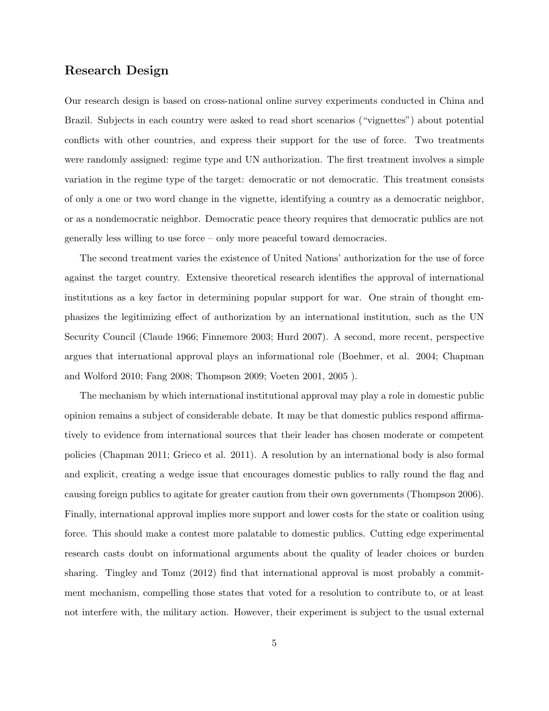### Research Design

Our research design is based on cross-national online survey experiments conducted in China and Brazil. Subjects in each country were asked to read short scenarios ("vignettes") about potential conflicts with other countries, and express their support for the use of force. Two treatments were randomly assigned: regime type and UN authorization. The first treatment involves a simple variation in the regime type of the target: democratic or not democratic. This treatment consists of only a one or two word change in the vignette, identifying a country as a democratic neighbor, or as a nondemocratic neighbor. Democratic peace theory requires that democratic publics are not generally less willing to use force – only more peaceful toward democracies.

The second treatment varies the existence of United Nations' authorization for the use of force against the target country. Extensive theoretical research identifies the approval of international institutions as a key factor in determining popular support for war. One strain of thought emphasizes the legitimizing effect of authorization by an international institution, such as the UN Security Council (Claude 1966; Finnemore 2003; Hurd 2007). A second, more recent, perspective argues that international approval plays an informational role (Boehmer, et al. 2004; Chapman and Wolford 2010; Fang 2008; Thompson 2009; Voeten 2001, 2005 ).

The mechanism by which international institutional approval may play a role in domestic public opinion remains a subject of considerable debate. It may be that domestic publics respond affirmatively to evidence from international sources that their leader has chosen moderate or competent policies (Chapman 2011; Grieco et al. 2011). A resolution by an international body is also formal and explicit, creating a wedge issue that encourages domestic publics to rally round the flag and causing foreign publics to agitate for greater caution from their own governments (Thompson 2006). Finally, international approval implies more support and lower costs for the state or coalition using force. This should make a contest more palatable to domestic publics. Cutting edge experimental research casts doubt on informational arguments about the quality of leader choices or burden sharing. Tingley and Tomz (2012) find that international approval is most probably a commitment mechanism, compelling those states that voted for a resolution to contribute to, or at least not interfere with, the military action. However, their experiment is subject to the usual external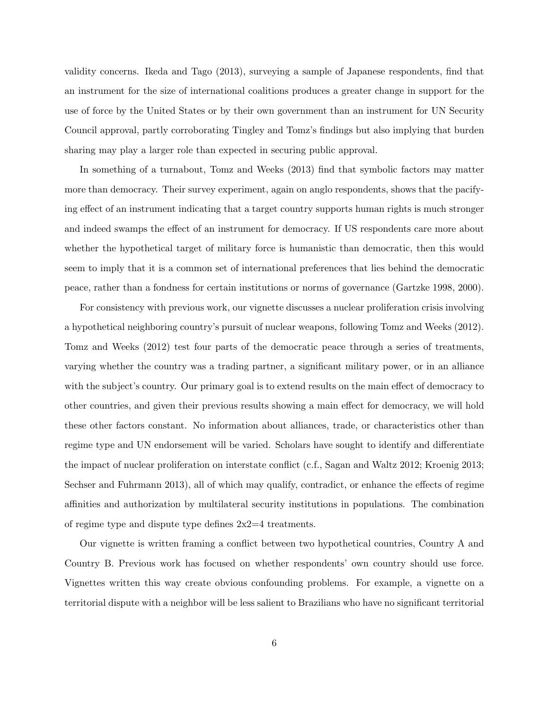validity concerns. Ikeda and Tago (2013), surveying a sample of Japanese respondents, find that an instrument for the size of international coalitions produces a greater change in support for the use of force by the United States or by their own government than an instrument for UN Security Council approval, partly corroborating Tingley and Tomz's findings but also implying that burden sharing may play a larger role than expected in securing public approval.

In something of a turnabout, Tomz and Weeks (2013) find that symbolic factors may matter more than democracy. Their survey experiment, again on anglo respondents, shows that the pacifying effect of an instrument indicating that a target country supports human rights is much stronger and indeed swamps the effect of an instrument for democracy. If US respondents care more about whether the hypothetical target of military force is humanistic than democratic, then this would seem to imply that it is a common set of international preferences that lies behind the democratic peace, rather than a fondness for certain institutions or norms of governance (Gartzke 1998, 2000).

For consistency with previous work, our vignette discusses a nuclear proliferation crisis involving a hypothetical neighboring country's pursuit of nuclear weapons, following Tomz and Weeks (2012). Tomz and Weeks (2012) test four parts of the democratic peace through a series of treatments, varying whether the country was a trading partner, a significant military power, or in an alliance with the subject's country. Our primary goal is to extend results on the main effect of democracy to other countries, and given their previous results showing a main effect for democracy, we will hold these other factors constant. No information about alliances, trade, or characteristics other than regime type and UN endorsement will be varied. Scholars have sought to identify and differentiate the impact of nuclear proliferation on interstate conflict (c.f., Sagan and Waltz 2012; Kroenig 2013; Sechser and Fuhrmann 2013), all of which may qualify, contradict, or enhance the effects of regime affinities and authorization by multilateral security institutions in populations. The combination of regime type and dispute type defines  $2x^2=4$  treatments.

Our vignette is written framing a conflict between two hypothetical countries, Country A and Country B. Previous work has focused on whether respondents' own country should use force. Vignettes written this way create obvious confounding problems. For example, a vignette on a territorial dispute with a neighbor will be less salient to Brazilians who have no significant territorial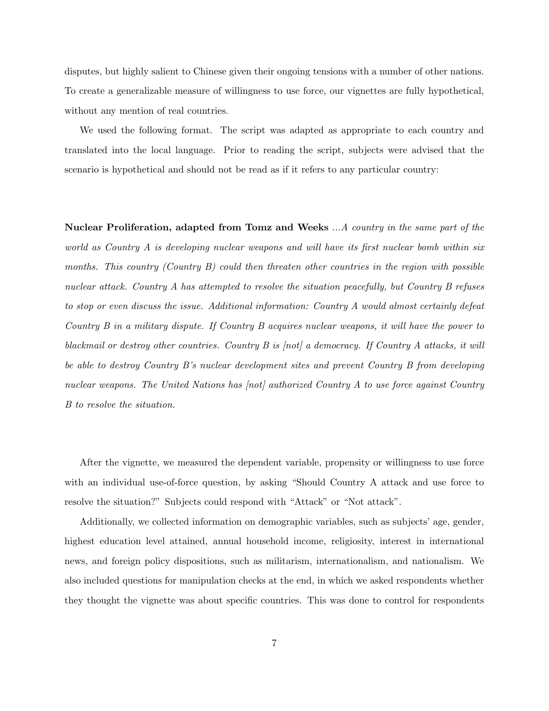disputes, but highly salient to Chinese given their ongoing tensions with a number of other nations. To create a generalizable measure of willingness to use force, our vignettes are fully hypothetical, without any mention of real countries.

We used the following format. The script was adapted as appropriate to each country and translated into the local language. Prior to reading the script, subjects were advised that the scenario is hypothetical and should not be read as if it refers to any particular country:

Nuclear Proliferation, adapted from Tomz and Weeks ...A country in the same part of the world as Country A is developing nuclear weapons and will have its first nuclear bomb within six months. This country (Country B) could then threaten other countries in the region with possible nuclear attack. Country A has attempted to resolve the situation peacefully, but Country B refuses to stop or even discuss the issue. Additional information: Country A would almost certainly defeat Country B in a military dispute. If Country B acquires nuclear weapons, it will have the power to blackmail or destroy other countries. Country  $B$  is  $[not]$  a democracy. If Country  $A$  attacks, it will be able to destroy Country B's nuclear development sites and prevent Country B from developing nuclear weapons. The United Nations has  $|not|$  authorized Country A to use force against Country B to resolve the situation.

After the vignette, we measured the dependent variable, propensity or willingness to use force with an individual use-of-force question, by asking "Should Country A attack and use force to resolve the situation?" Subjects could respond with "Attack" or "Not attack".

Additionally, we collected information on demographic variables, such as subjects' age, gender, highest education level attained, annual household income, religiosity, interest in international news, and foreign policy dispositions, such as militarism, internationalism, and nationalism. We also included questions for manipulation checks at the end, in which we asked respondents whether they thought the vignette was about specific countries. This was done to control for respondents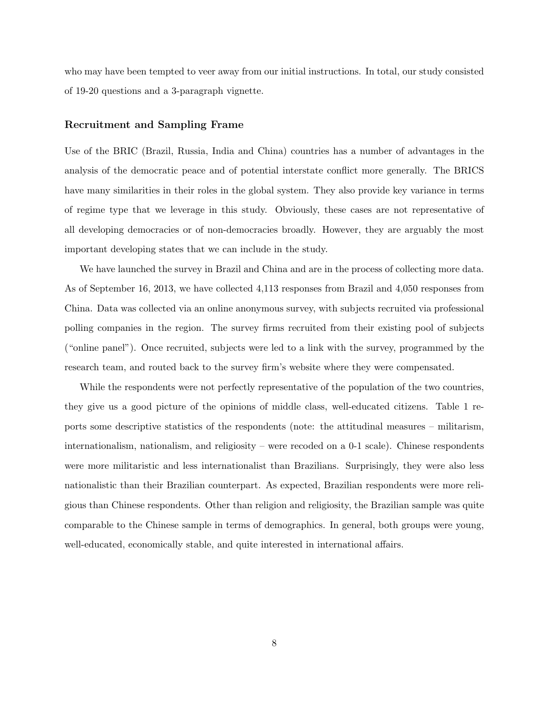who may have been tempted to veer away from our initial instructions. In total, our study consisted of 19-20 questions and a 3-paragraph vignette.

#### Recruitment and Sampling Frame

Use of the BRIC (Brazil, Russia, India and China) countries has a number of advantages in the analysis of the democratic peace and of potential interstate conflict more generally. The BRICS have many similarities in their roles in the global system. They also provide key variance in terms of regime type that we leverage in this study. Obviously, these cases are not representative of all developing democracies or of non-democracies broadly. However, they are arguably the most important developing states that we can include in the study.

We have launched the survey in Brazil and China and are in the process of collecting more data. As of September 16, 2013, we have collected 4,113 responses from Brazil and 4,050 responses from China. Data was collected via an online anonymous survey, with subjects recruited via professional polling companies in the region. The survey firms recruited from their existing pool of subjects ("online panel"). Once recruited, subjects were led to a link with the survey, programmed by the research team, and routed back to the survey firm's website where they were compensated.

While the respondents were not perfectly representative of the population of the two countries, they give us a good picture of the opinions of middle class, well-educated citizens. Table 1 reports some descriptive statistics of the respondents (note: the attitudinal measures – militarism, internationalism, nationalism, and religiosity – were recoded on a 0-1 scale). Chinese respondents were more militaristic and less internationalist than Brazilians. Surprisingly, they were also less nationalistic than their Brazilian counterpart. As expected, Brazilian respondents were more religious than Chinese respondents. Other than religion and religiosity, the Brazilian sample was quite comparable to the Chinese sample in terms of demographics. In general, both groups were young, well-educated, economically stable, and quite interested in international affairs.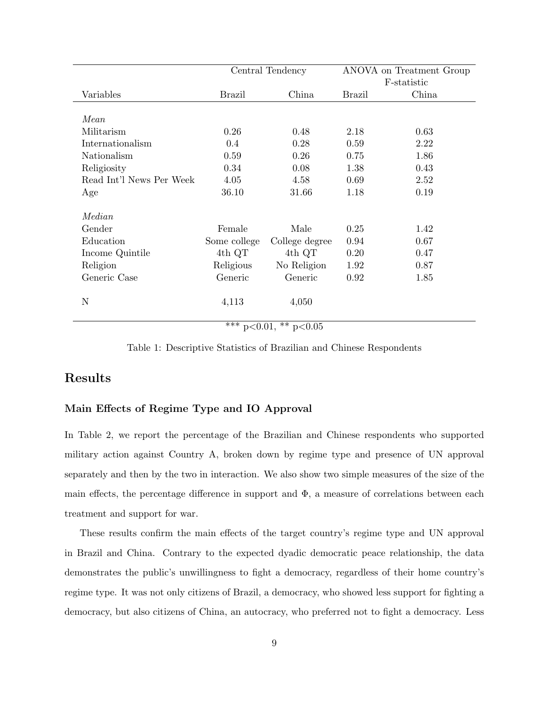|                          |               | Central Tendency                                   | ANOVA on Treatment Group |       |  |  |  |
|--------------------------|---------------|----------------------------------------------------|--------------------------|-------|--|--|--|
|                          |               |                                                    | F-statistic              |       |  |  |  |
| Variables                | <b>Brazil</b> | China                                              | <b>Brazil</b>            | China |  |  |  |
|                          |               |                                                    |                          |       |  |  |  |
| Mean                     |               |                                                    |                          |       |  |  |  |
| Militarism               | 0.26          | 0.48                                               | 2.18                     | 0.63  |  |  |  |
| Internationalism         | $0.4\,$       | 0.28                                               | 0.59                     | 2.22  |  |  |  |
| Nationalism              | 0.59          | 0.26                                               | 0.75                     | 1.86  |  |  |  |
| Religiosity              | 0.34          | 0.08                                               | 1.38                     | 0.43  |  |  |  |
| Read Int'l News Per Week | 4.05          | 4.58<br>0.69                                       |                          | 2.52  |  |  |  |
| Age                      | 36.10         | 31.66                                              | 1.18                     | 0.19  |  |  |  |
| Median                   |               |                                                    |                          |       |  |  |  |
| Gender                   | Female        | Male                                               | 0.25                     | 1.42  |  |  |  |
| Education                | Some college  | College degree                                     | 0.94                     | 0.67  |  |  |  |
| Income Quintile          | $4th$ QT      | 4th QT                                             | 0.20                     | 0.47  |  |  |  |
| Religion                 | Religious     | No Religion                                        | 1.92                     | 0.87  |  |  |  |
| Generic Case             | Generic       | Generic                                            | 0.92                     | 1.85  |  |  |  |
| N                        | 4,113         | 4,050                                              |                          |       |  |  |  |
|                          | ととと           | حالہ جالہ<br>$\sim$ $\sim$<br>$\sim$ $\sim$ $\sim$ |                          |       |  |  |  |

\*\*\*  $p<0.01$ , \*\*  $p<0.05$ 

Table 1: Descriptive Statistics of Brazilian and Chinese Respondents

# Results

#### Main Effects of Regime Type and IO Approval

In Table 2, we report the percentage of the Brazilian and Chinese respondents who supported military action against Country A, broken down by regime type and presence of UN approval separately and then by the two in interaction. We also show two simple measures of the size of the main effects, the percentage difference in support and  $\Phi$ , a measure of correlations between each treatment and support for war.

These results confirm the main effects of the target country's regime type and UN approval in Brazil and China. Contrary to the expected dyadic democratic peace relationship, the data demonstrates the public's unwillingness to fight a democracy, regardless of their home country's regime type. It was not only citizens of Brazil, a democracy, who showed less support for fighting a democracy, but also citizens of China, an autocracy, who preferred not to fight a democracy. Less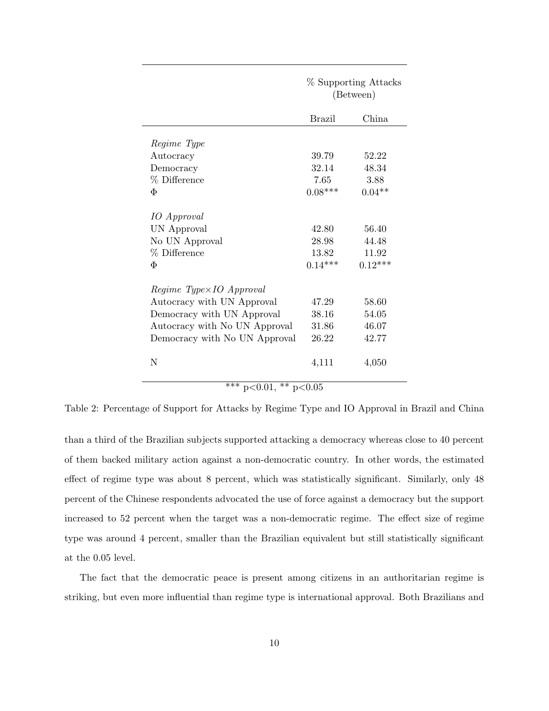|                               | % Supporting Attacks<br>(Between) |           |  |  |
|-------------------------------|-----------------------------------|-----------|--|--|
|                               | Brazil                            | China     |  |  |
| Regime Type                   |                                   |           |  |  |
| Autocracy                     | 39.79                             | 52.22     |  |  |
| Democracy                     | 32.14                             | 48.34     |  |  |
| % Difference                  | 7.65                              | 3.88      |  |  |
| Φ                             | $0.08***$                         | $0.04**$  |  |  |
| <i>IO</i> Approval            |                                   |           |  |  |
| UN Approval                   | 42.80                             | 56.40     |  |  |
| No UN Approval                | 28.98                             | 44.48     |  |  |
| % Difference                  | 13.82                             | 11.92     |  |  |
| Φ                             | $0.14***$                         | $0.12***$ |  |  |
| Regime Type×IO Approval       |                                   |           |  |  |
| Autocracy with UN Approval    | 47.29                             | 58.60     |  |  |
| Democracy with UN Approval    | 38.16                             | 54.05     |  |  |
| Autocracy with No UN Approval | 31.86                             | 46.07     |  |  |
| Democracy with No UN Approval | 26.22                             | 42.77     |  |  |
| N                             | 4,111                             | 4,050     |  |  |

\*\*\*  $p<0.01$ , \*\*  $p<0.05$ 

Table 2: Percentage of Support for Attacks by Regime Type and IO Approval in Brazil and China

than a third of the Brazilian subjects supported attacking a democracy whereas close to 40 percent of them backed military action against a non-democratic country. In other words, the estimated effect of regime type was about 8 percent, which was statistically significant. Similarly, only 48 percent of the Chinese respondents advocated the use of force against a democracy but the support increased to 52 percent when the target was a non-democratic regime. The effect size of regime type was around 4 percent, smaller than the Brazilian equivalent but still statistically significant at the 0.05 level.

The fact that the democratic peace is present among citizens in an authoritarian regime is striking, but even more influential than regime type is international approval. Both Brazilians and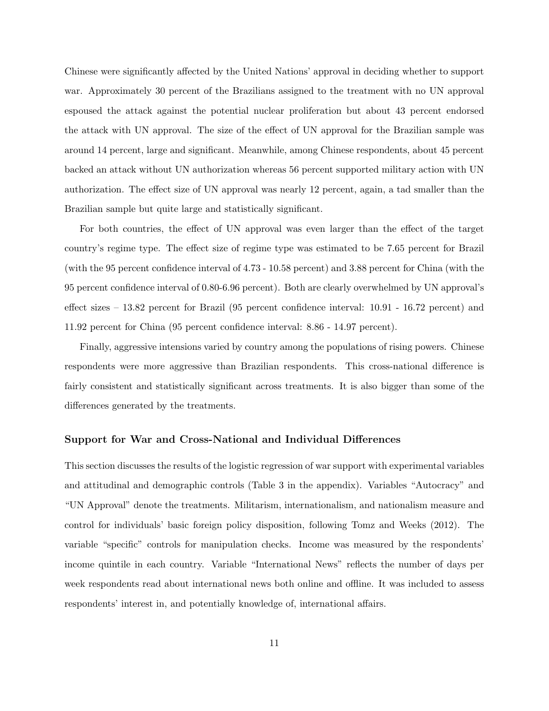Chinese were significantly affected by the United Nations' approval in deciding whether to support war. Approximately 30 percent of the Brazilians assigned to the treatment with no UN approval espoused the attack against the potential nuclear proliferation but about 43 percent endorsed the attack with UN approval. The size of the effect of UN approval for the Brazilian sample was around 14 percent, large and significant. Meanwhile, among Chinese respondents, about 45 percent backed an attack without UN authorization whereas 56 percent supported military action with UN authorization. The effect size of UN approval was nearly 12 percent, again, a tad smaller than the Brazilian sample but quite large and statistically significant.

For both countries, the effect of UN approval was even larger than the effect of the target country's regime type. The effect size of regime type was estimated to be 7.65 percent for Brazil (with the 95 percent confidence interval of 4.73 - 10.58 percent) and 3.88 percent for China (with the 95 percent confidence interval of 0.80-6.96 percent). Both are clearly overwhelmed by UN approval's effect sizes – 13.82 percent for Brazil (95 percent confidence interval: 10.91 - 16.72 percent) and 11.92 percent for China (95 percent confidence interval: 8.86 - 14.97 percent).

Finally, aggressive intensions varied by country among the populations of rising powers. Chinese respondents were more aggressive than Brazilian respondents. This cross-national difference is fairly consistent and statistically significant across treatments. It is also bigger than some of the differences generated by the treatments.

#### Support for War and Cross-National and Individual Differences

This section discusses the results of the logistic regression of war support with experimental variables and attitudinal and demographic controls (Table 3 in the appendix). Variables "Autocracy" and "UN Approval" denote the treatments. Militarism, internationalism, and nationalism measure and control for individuals' basic foreign policy disposition, following Tomz and Weeks (2012). The variable "specific" controls for manipulation checks. Income was measured by the respondents' income quintile in each country. Variable "International News" reflects the number of days per week respondents read about international news both online and offline. It was included to assess respondents' interest in, and potentially knowledge of, international affairs.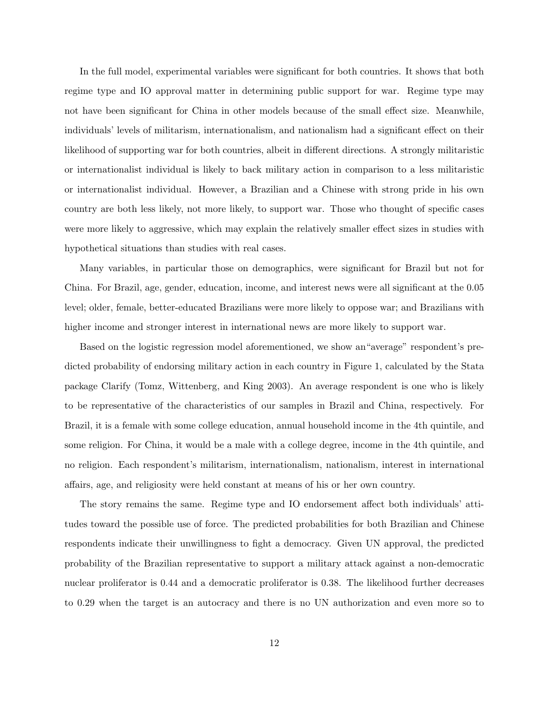In the full model, experimental variables were significant for both countries. It shows that both regime type and IO approval matter in determining public support for war. Regime type may not have been significant for China in other models because of the small effect size. Meanwhile, individuals' levels of militarism, internationalism, and nationalism had a significant effect on their likelihood of supporting war for both countries, albeit in different directions. A strongly militaristic or internationalist individual is likely to back military action in comparison to a less militaristic or internationalist individual. However, a Brazilian and a Chinese with strong pride in his own country are both less likely, not more likely, to support war. Those who thought of specific cases were more likely to aggressive, which may explain the relatively smaller effect sizes in studies with hypothetical situations than studies with real cases.

Many variables, in particular those on demographics, were significant for Brazil but not for China. For Brazil, age, gender, education, income, and interest news were all significant at the 0.05 level; older, female, better-educated Brazilians were more likely to oppose war; and Brazilians with higher income and stronger interest in international news are more likely to support war.

Based on the logistic regression model aforementioned, we show an"average" respondent's predicted probability of endorsing military action in each country in Figure 1, calculated by the Stata package Clarify (Tomz, Wittenberg, and King 2003). An average respondent is one who is likely to be representative of the characteristics of our samples in Brazil and China, respectively. For Brazil, it is a female with some college education, annual household income in the 4th quintile, and some religion. For China, it would be a male with a college degree, income in the 4th quintile, and no religion. Each respondent's militarism, internationalism, nationalism, interest in international affairs, age, and religiosity were held constant at means of his or her own country.

The story remains the same. Regime type and IO endorsement affect both individuals' attitudes toward the possible use of force. The predicted probabilities for both Brazilian and Chinese respondents indicate their unwillingness to fight a democracy. Given UN approval, the predicted probability of the Brazilian representative to support a military attack against a non-democratic nuclear proliferator is 0.44 and a democratic proliferator is 0.38. The likelihood further decreases to 0.29 when the target is an autocracy and there is no UN authorization and even more so to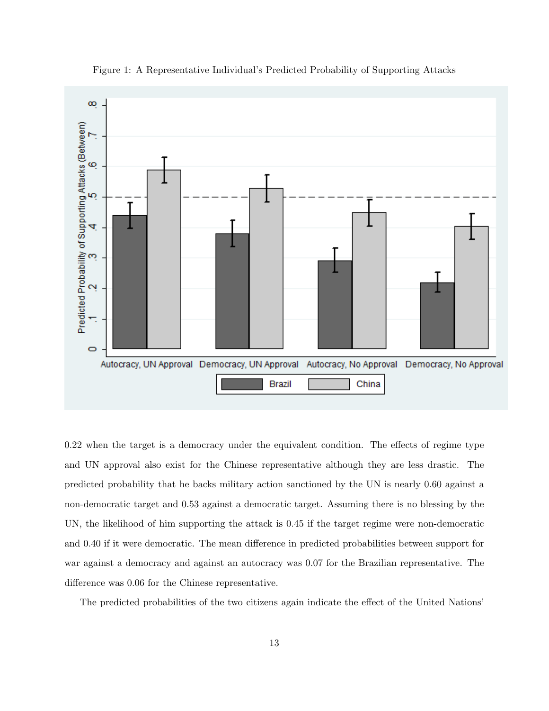

Figure 1: A Representative Individual's Predicted Probability of Supporting Attacks

0.22 when the target is a democracy under the equivalent condition. The effects of regime type and UN approval also exist for the Chinese representative although they are less drastic. The predicted probability that he backs military action sanctioned by the UN is nearly 0.60 against a non-democratic target and 0.53 against a democratic target. Assuming there is no blessing by the UN, the likelihood of him supporting the attack is 0.45 if the target regime were non-democratic and 0.40 if it were democratic. The mean difference in predicted probabilities between support for war against a democracy and against an autocracy was 0.07 for the Brazilian representative. The difference was 0.06 for the Chinese representative.

The predicted probabilities of the two citizens again indicate the effect of the United Nations'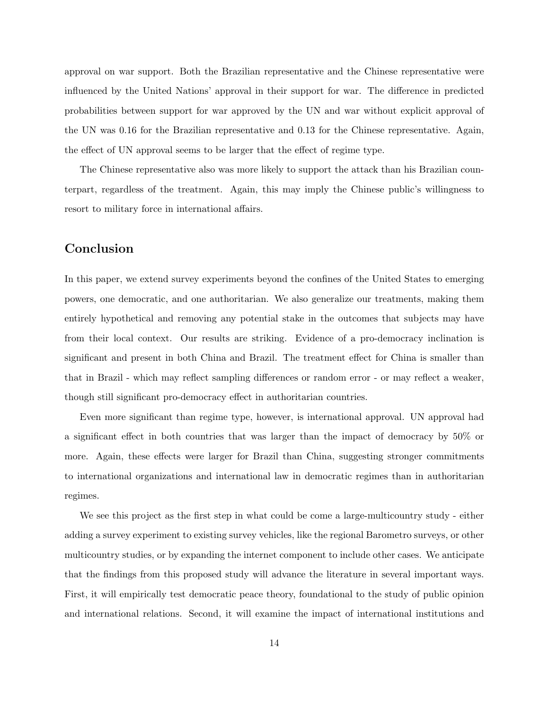approval on war support. Both the Brazilian representative and the Chinese representative were influenced by the United Nations' approval in their support for war. The difference in predicted probabilities between support for war approved by the UN and war without explicit approval of the UN was 0.16 for the Brazilian representative and 0.13 for the Chinese representative. Again, the effect of UN approval seems to be larger that the effect of regime type.

The Chinese representative also was more likely to support the attack than his Brazilian counterpart, regardless of the treatment. Again, this may imply the Chinese public's willingness to resort to military force in international affairs.

## Conclusion

In this paper, we extend survey experiments beyond the confines of the United States to emerging powers, one democratic, and one authoritarian. We also generalize our treatments, making them entirely hypothetical and removing any potential stake in the outcomes that subjects may have from their local context. Our results are striking. Evidence of a pro-democracy inclination is significant and present in both China and Brazil. The treatment effect for China is smaller than that in Brazil - which may reflect sampling differences or random error - or may reflect a weaker, though still significant pro-democracy effect in authoritarian countries.

Even more significant than regime type, however, is international approval. UN approval had a significant effect in both countries that was larger than the impact of democracy by 50% or more. Again, these effects were larger for Brazil than China, suggesting stronger commitments to international organizations and international law in democratic regimes than in authoritarian regimes.

We see this project as the first step in what could be come a large-multicountry study - either adding a survey experiment to existing survey vehicles, like the regional Barometro surveys, or other multicountry studies, or by expanding the internet component to include other cases. We anticipate that the findings from this proposed study will advance the literature in several important ways. First, it will empirically test democratic peace theory, foundational to the study of public opinion and international relations. Second, it will examine the impact of international institutions and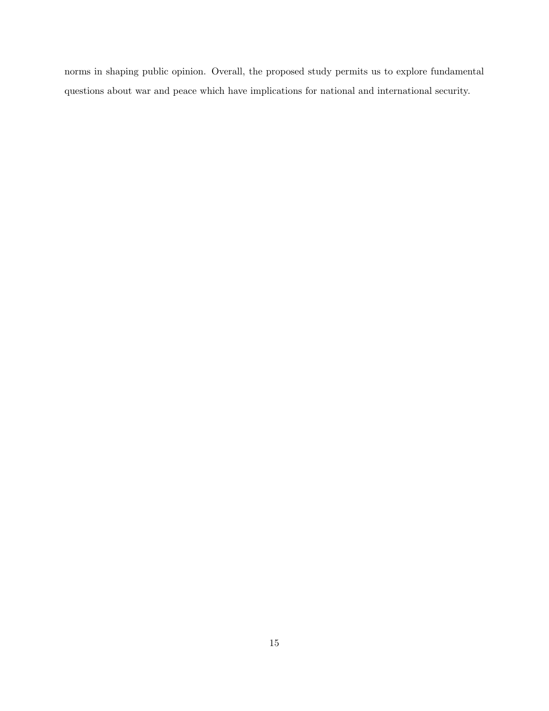norms in shaping public opinion. Overall, the proposed study permits us to explore fundamental questions about war and peace which have implications for national and international security.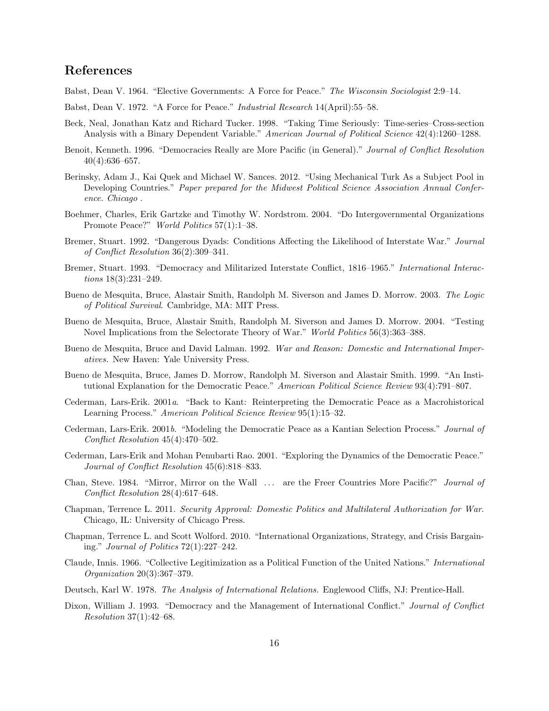# References

Babst, Dean V. 1964. "Elective Governments: A Force for Peace." The Wisconsin Sociologist 2:9–14.

- Babst, Dean V. 1972. "A Force for Peace." Industrial Research 14(April):55–58.
- Beck, Neal, Jonathan Katz and Richard Tucker. 1998. "Taking Time Seriously: Time-series–Cross-section Analysis with a Binary Dependent Variable." American Journal of Political Science 42(4):1260–1288.
- Benoit, Kenneth. 1996. "Democracies Really are More Pacific (in General)." Journal of Conflict Resolution  $40(4):636-657.$
- Berinsky, Adam J., Kai Quek and Michael W. Sances. 2012. "Using Mechanical Turk As a Subject Pool in Developing Countries." Paper prepared for the Midwest Political Science Association Annual Conference. Chicago .
- Boehmer, Charles, Erik Gartzke and Timothy W. Nordstrom. 2004. "Do Intergovernmental Organizations Promote Peace?" World Politics 57(1):1–38.
- Bremer, Stuart. 1992. "Dangerous Dyads: Conditions Affecting the Likelihood of Interstate War." Journal of Conflict Resolution 36(2):309–341.
- Bremer, Stuart. 1993. "Democracy and Militarized Interstate Conflict, 1816–1965." International Interactions 18(3):231–249.
- Bueno de Mesquita, Bruce, Alastair Smith, Randolph M. Siverson and James D. Morrow. 2003. The Logic of Political Survival. Cambridge, MA: MIT Press.
- Bueno de Mesquita, Bruce, Alastair Smith, Randolph M. Siverson and James D. Morrow. 2004. "Testing Novel Implications from the Selectorate Theory of War." World Politics 56(3):363–388.
- Bueno de Mesquita, Bruce and David Lalman. 1992. War and Reason: Domestic and International Imperatives. New Haven: Yale University Press.
- Bueno de Mesquita, Bruce, James D. Morrow, Randolph M. Siverson and Alastair Smith. 1999. "An Institutional Explanation for the Democratic Peace." American Political Science Review 93(4):791–807.
- Cederman, Lars-Erik. 2001a. "Back to Kant: Reinterpreting the Democratic Peace as a Macrohistorical Learning Process." American Political Science Review 95(1):15–32.
- Cederman, Lars-Erik. 2001b. "Modeling the Democratic Peace as a Kantian Selection Process." Journal of Conflict Resolution 45(4):470–502.
- Cederman, Lars-Erik and Mohan Penubarti Rao. 2001. "Exploring the Dynamics of the Democratic Peace." Journal of Conflict Resolution 45(6):818–833.
- Chan, Steve. 1984. "Mirror, Mirror on the Wall ... are the Freer Countries More Pacific?" Journal of Conflict Resolution 28(4):617–648.
- Chapman, Terrence L. 2011. Security Approval: Domestic Politics and Multilateral Authorization for War. Chicago, IL: University of Chicago Press.
- Chapman, Terrence L. and Scott Wolford. 2010. "International Organizations, Strategy, and Crisis Bargaining." Journal of Politics 72(1):227–242.
- Claude, Innis. 1966. "Collective Legitimization as a Political Function of the United Nations." International Organization 20(3):367–379.
- Deutsch, Karl W. 1978. The Analysis of International Relations. Englewood Cliffs, NJ: Prentice-Hall.
- Dixon, William J. 1993. "Democracy and the Management of International Conflict." Journal of Conflict Resolution 37(1):42–68.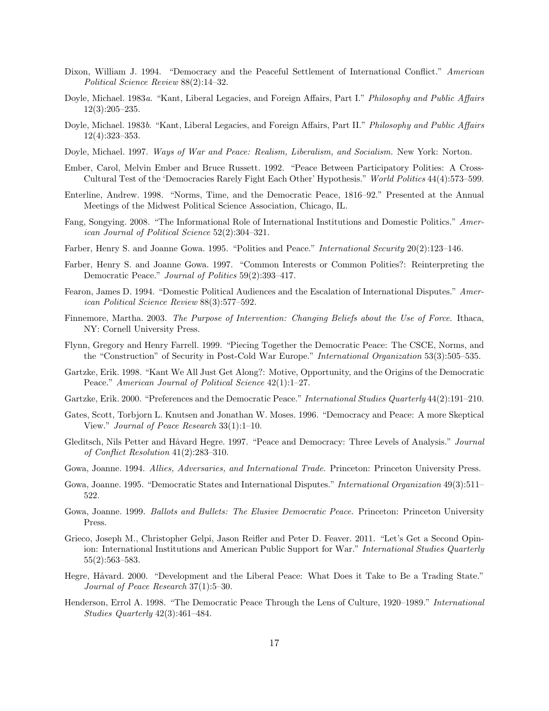- Dixon, William J. 1994. "Democracy and the Peaceful Settlement of International Conflict." American Political Science Review 88(2):14–32.
- Doyle, Michael. 1983a. "Kant, Liberal Legacies, and Foreign Affairs, Part I." Philosophy and Public Affairs 12(3):205–235.
- Doyle, Michael. 1983b. "Kant, Liberal Legacies, and Foreign Affairs, Part II." Philosophy and Public Affairs 12(4):323–353.
- Doyle, Michael. 1997. Ways of War and Peace: Realism, Liberalism, and Socialism. New York: Norton.
- Ember, Carol, Melvin Ember and Bruce Russett. 1992. "Peace Between Participatory Polities: A Cross-Cultural Test of the 'Democracies Rarely Fight Each Other' Hypothesis." World Politics 44(4):573–599.
- Enterline, Andrew. 1998. "Norms, Time, and the Democratic Peace, 1816–92." Presented at the Annual Meetings of the Midwest Political Science Association, Chicago, IL.
- Fang, Songying. 2008. "The Informational Role of International Institutions and Domestic Politics." American Journal of Political Science 52(2):304–321.
- Farber, Henry S. and Joanne Gowa. 1995. "Polities and Peace." International Security 20(2):123–146.
- Farber, Henry S. and Joanne Gowa. 1997. "Common Interests or Common Polities?: Reinterpreting the Democratic Peace." Journal of Politics 59(2):393–417.
- Fearon, James D. 1994. "Domestic Political Audiences and the Escalation of International Disputes." American Political Science Review 88(3):577–592.
- Finnemore, Martha. 2003. The Purpose of Intervention: Changing Beliefs about the Use of Force. Ithaca, NY: Cornell University Press.
- Flynn, Gregory and Henry Farrell. 1999. "Piecing Together the Democratic Peace: The CSCE, Norms, and the "Construction" of Security in Post-Cold War Europe." *International Organization* 53(3):505–535.
- Gartzke, Erik. 1998. "Kant We All Just Get Along?: Motive, Opportunity, and the Origins of the Democratic Peace." American Journal of Political Science 42(1):1–27.
- Gartzke, Erik. 2000. "Preferences and the Democratic Peace." International Studies Quarterly 44(2):191–210.
- Gates, Scott, Torbjorn L. Knutsen and Jonathan W. Moses. 1996. "Democracy and Peace: A more Skeptical View." Journal of Peace Research 33(1):1–10.
- Gleditsch, Nils Petter and Håvard Hegre. 1997. "Peace and Democracy: Three Levels of Analysis." Journal of Conflict Resolution 41(2):283–310.
- Gowa, Joanne. 1994. Allies, Adversaries, and International Trade. Princeton: Princeton University Press.
- Gowa, Joanne. 1995. "Democratic States and International Disputes." International Organization 49(3):511– 522.
- Gowa, Joanne. 1999. Ballots and Bullets: The Elusive Democratic Peace. Princeton: Princeton University Press.
- Grieco, Joseph M., Christopher Gelpi, Jason Reifler and Peter D. Feaver. 2011. "Let's Get a Second Opinion: International Institutions and American Public Support for War." International Studies Quarterly 55(2):563–583.
- Hegre, Håvard. 2000. "Development and the Liberal Peace: What Does it Take to Be a Trading State." Journal of Peace Research 37(1):5–30.
- Henderson, Errol A. 1998. "The Democratic Peace Through the Lens of Culture, 1920–1989." International Studies Quarterly 42(3):461–484.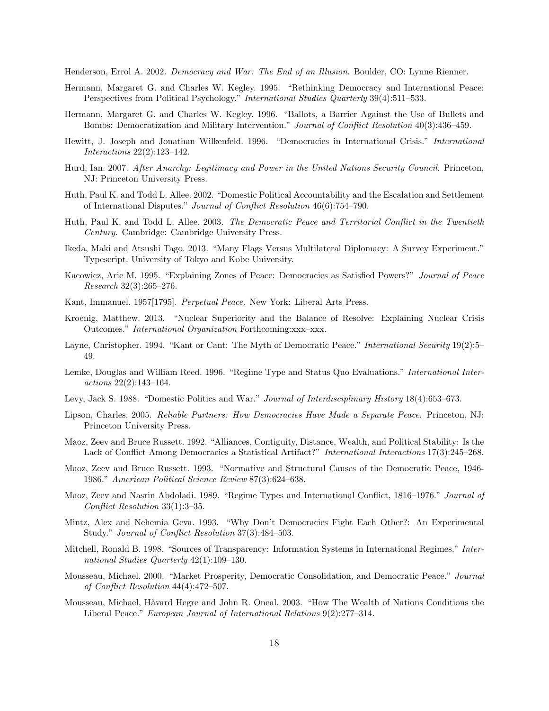Henderson, Errol A. 2002. Democracy and War: The End of an Illusion. Boulder, CO: Lynne Rienner.

- Hermann, Margaret G. and Charles W. Kegley. 1995. "Rethinking Democracy and International Peace: Perspectives from Political Psychology." International Studies Quarterly 39(4):511–533.
- Hermann, Margaret G. and Charles W. Kegley. 1996. "Ballots, a Barrier Against the Use of Bullets and Bombs: Democratization and Military Intervention." Journal of Conflict Resolution 40(3):436–459.
- Hewitt, J. Joseph and Jonathan Wilkenfeld. 1996. "Democracies in International Crisis." International Interactions 22(2):123–142.
- Hurd, Ian. 2007. After Anarchy: Legitimacy and Power in the United Nations Security Council. Princeton, NJ: Princeton University Press.
- Huth, Paul K. and Todd L. Allee. 2002. "Domestic Political Accountability and the Escalation and Settlement of International Disputes." Journal of Conflict Resolution 46(6):754–790.
- Huth, Paul K. and Todd L. Allee. 2003. The Democratic Peace and Territorial Conflict in the Twentieth Century. Cambridge: Cambridge University Press.
- Ikeda, Maki and Atsushi Tago. 2013. "Many Flags Versus Multilateral Diplomacy: A Survey Experiment." Typescript. University of Tokyo and Kobe University.
- Kacowicz, Arie M. 1995. "Explaining Zones of Peace: Democracies as Satisfied Powers?" Journal of Peace Research 32(3):265–276.
- Kant, Immanuel. 1957[1795]. Perpetual Peace. New York: Liberal Arts Press.
- Kroenig, Matthew. 2013. "Nuclear Superiority and the Balance of Resolve: Explaining Nuclear Crisis Outcomes." International Organization Forthcoming:xxx–xxx.
- Layne, Christopher. 1994. "Kant or Cant: The Myth of Democratic Peace." International Security 19(2):5– 49.
- Lemke, Douglas and William Reed. 1996. "Regime Type and Status Quo Evaluations." International Interactions 22(2):143–164.
- Levy, Jack S. 1988. "Domestic Politics and War." Journal of Interdisciplinary History 18(4):653–673.
- Lipson, Charles. 2005. Reliable Partners: How Democracies Have Made a Separate Peace. Princeton, NJ: Princeton University Press.
- Maoz, Zeev and Bruce Russett. 1992. "Alliances, Contiguity, Distance, Wealth, and Political Stability: Is the Lack of Conflict Among Democracies a Statistical Artifact?" International Interactions 17(3):245–268.
- Maoz, Zeev and Bruce Russett. 1993. "Normative and Structural Causes of the Democratic Peace, 1946- 1986." American Political Science Review 87(3):624–638.
- Maoz, Zeev and Nasrin Abdoladi. 1989. "Regime Types and International Conflict, 1816–1976." Journal of Conflict Resolution 33(1):3–35.
- Mintz, Alex and Nehemia Geva. 1993. "Why Don't Democracies Fight Each Other?: An Experimental Study." Journal of Conflict Resolution 37(3):484–503.
- Mitchell, Ronald B. 1998. "Sources of Transparency: Information Systems in International Regimes." International Studies Quarterly 42(1):109–130.
- Mousseau, Michael. 2000. "Market Prosperity, Democratic Consolidation, and Democratic Peace." Journal of Conflict Resolution 44(4):472–507.
- Mousseau, Michael, Håvard Hegre and John R. Oneal. 2003. "How The Wealth of Nations Conditions the Liberal Peace." European Journal of International Relations 9(2):277–314.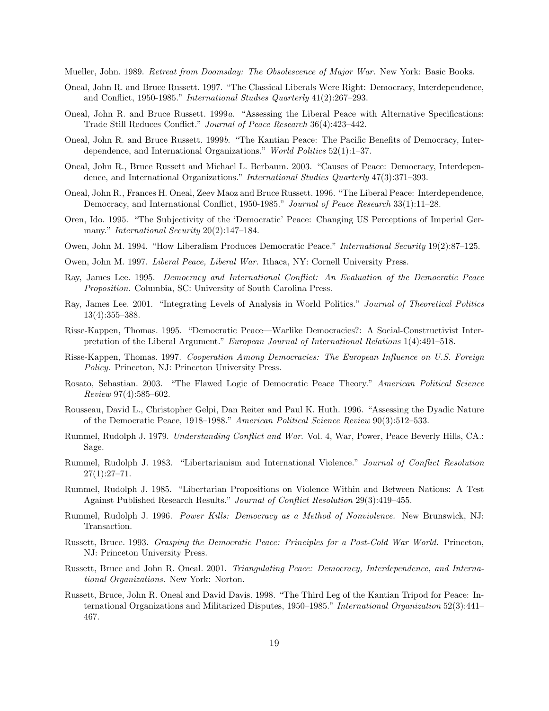Mueller, John. 1989. Retreat from Doomsday: The Obsolescence of Major War. New York: Basic Books.

- Oneal, John R. and Bruce Russett. 1997. "The Classical Liberals Were Right: Democracy, Interdependence, and Conflict, 1950-1985." International Studies Quarterly 41(2):267–293.
- Oneal, John R. and Bruce Russett. 1999a. "Assessing the Liberal Peace with Alternative Specifications: Trade Still Reduces Conflict." Journal of Peace Research 36(4):423–442.
- Oneal, John R. and Bruce Russett. 1999b. "The Kantian Peace: The Pacific Benefits of Democracy, Interdependence, and International Organizations." World Politics 52(1):1–37.
- Oneal, John R., Bruce Russett and Michael L. Berbaum. 2003. "Causes of Peace: Democracy, Interdependence, and International Organizations." International Studies Quarterly 47(3):371–393.
- Oneal, John R., Frances H. Oneal, Zeev Maoz and Bruce Russett. 1996. "The Liberal Peace: Interdependence, Democracy, and International Conflict, 1950-1985." Journal of Peace Research 33(1):11–28.
- Oren, Ido. 1995. "The Subjectivity of the 'Democratic' Peace: Changing US Perceptions of Imperial Germany." *International Security* 20(2):147–184.
- Owen, John M. 1994. "How Liberalism Produces Democratic Peace." International Security 19(2):87–125.
- Owen, John M. 1997. Liberal Peace, Liberal War. Ithaca, NY: Cornell University Press.
- Ray, James Lee. 1995. Democracy and International Conflict: An Evaluation of the Democratic Peace Proposition. Columbia, SC: University of South Carolina Press.
- Ray, James Lee. 2001. "Integrating Levels of Analysis in World Politics." Journal of Theoretical Politics 13(4):355–388.
- Risse-Kappen, Thomas. 1995. "Democratic Peace—Warlike Democracies?: A Social-Constructivist Interpretation of the Liberal Argument." European Journal of International Relations 1(4):491–518.
- Risse-Kappen, Thomas. 1997. Cooperation Among Democracies: The European Influence on U.S. Foreign Policy. Princeton, NJ: Princeton University Press.
- Rosato, Sebastian. 2003. "The Flawed Logic of Democratic Peace Theory." American Political Science Review 97(4):585–602.
- Rousseau, David L., Christopher Gelpi, Dan Reiter and Paul K. Huth. 1996. "Assessing the Dyadic Nature of the Democratic Peace, 1918–1988." American Political Science Review 90(3):512–533.
- Rummel, Rudolph J. 1979. Understanding Conflict and War. Vol. 4, War, Power, Peace Beverly Hills, CA.: Sage.
- Rummel, Rudolph J. 1983. "Libertarianism and International Violence." Journal of Conflict Resolution  $27(1):27-71.$
- Rummel, Rudolph J. 1985. "Libertarian Propositions on Violence Within and Between Nations: A Test Against Published Research Results." Journal of Conflict Resolution 29(3):419–455.
- Rummel, Rudolph J. 1996. Power Kills: Democracy as a Method of Nonviolence. New Brunswick, NJ: Transaction.
- Russett, Bruce. 1993. Grasping the Democratic Peace: Principles for a Post-Cold War World. Princeton, NJ: Princeton University Press.
- Russett, Bruce and John R. Oneal. 2001. Triangulating Peace: Democracy, Interdependence, and International Organizations. New York: Norton.
- Russett, Bruce, John R. Oneal and David Davis. 1998. "The Third Leg of the Kantian Tripod for Peace: International Organizations and Militarized Disputes, 1950–1985." International Organization 52(3):441-467.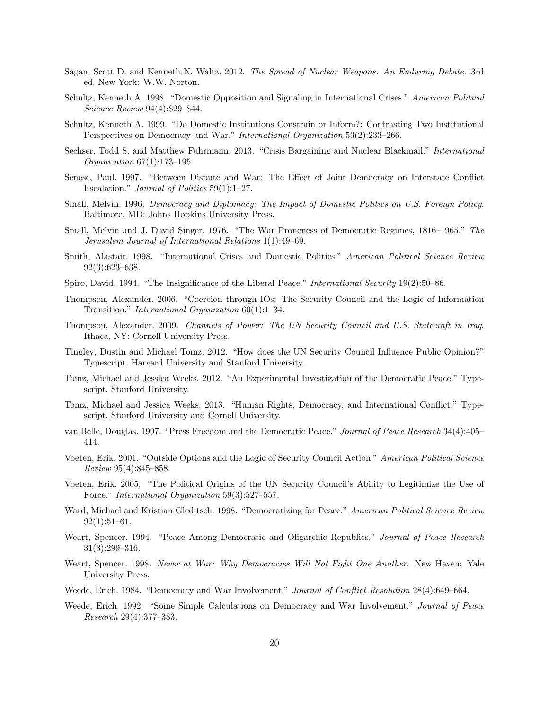- Sagan, Scott D. and Kenneth N. Waltz. 2012. The Spread of Nuclear Weapons: An Enduring Debate. 3rd ed. New York: W.W. Norton.
- Schultz, Kenneth A. 1998. "Domestic Opposition and Signaling in International Crises." American Political Science Review 94(4):829–844.
- Schultz, Kenneth A. 1999. "Do Domestic Institutions Constrain or Inform?: Contrasting Two Institutional Perspectives on Democracy and War." International Organization 53(2):233–266.
- Sechser, Todd S. and Matthew Fuhrmann. 2013. "Crisis Bargaining and Nuclear Blackmail." *International* Organization 67(1):173–195.
- Senese, Paul. 1997. "Between Dispute and War: The Effect of Joint Democracy on Interstate Conflict Escalation." Journal of Politics 59(1):1–27.
- Small, Melvin. 1996. Democracy and Diplomacy: The Impact of Domestic Politics on U.S. Foreign Policy. Baltimore, MD: Johns Hopkins University Press.
- Small, Melvin and J. David Singer. 1976. "The War Proneness of Democratic Regimes, 1816–1965." The Jerusalem Journal of International Relations 1(1):49–69.
- Smith, Alastair. 1998. "International Crises and Domestic Politics." American Political Science Review 92(3):623–638.
- Spiro, David. 1994. "The Insignificance of the Liberal Peace." International Security 19(2):50–86.
- Thompson, Alexander. 2006. "Coercion through IOs: The Security Council and the Logic of Information Transition." International Organization 60(1):1–34.
- Thompson, Alexander. 2009. Channels of Power: The UN Security Council and U.S. Statecraft in Iraq. Ithaca, NY: Cornell University Press.
- Tingley, Dustin and Michael Tomz. 2012. "How does the UN Security Council Influence Public Opinion?" Typescript. Harvard University and Stanford University.
- Tomz, Michael and Jessica Weeks. 2012. "An Experimental Investigation of the Democratic Peace." Typescript. Stanford University.
- Tomz, Michael and Jessica Weeks. 2013. "Human Rights, Democracy, and International Conflict." Typescript. Stanford University and Cornell University.
- van Belle, Douglas. 1997. "Press Freedom and the Democratic Peace." Journal of Peace Research 34(4):405– 414.
- Voeten, Erik. 2001. "Outside Options and the Logic of Security Council Action." American Political Science Review 95(4):845–858.
- Voeten, Erik. 2005. "The Political Origins of the UN Security Council's Ability to Legitimize the Use of Force." International Organization 59(3):527–557.
- Ward, Michael and Kristian Gleditsch. 1998. "Democratizing for Peace." American Political Science Review  $92(1):51-61.$
- Weart, Spencer. 1994. "Peace Among Democratic and Oligarchic Republics." Journal of Peace Research 31(3):299–316.
- Weart, Spencer. 1998. Never at War: Why Democracies Will Not Fight One Another. New Haven: Yale University Press.
- Weede, Erich. 1984. "Democracy and War Involvement." Journal of Conflict Resolution 28(4):649–664.
- Weede, Erich. 1992. "Some Simple Calculations on Democracy and War Involvement." Journal of Peace Research 29(4):377–383.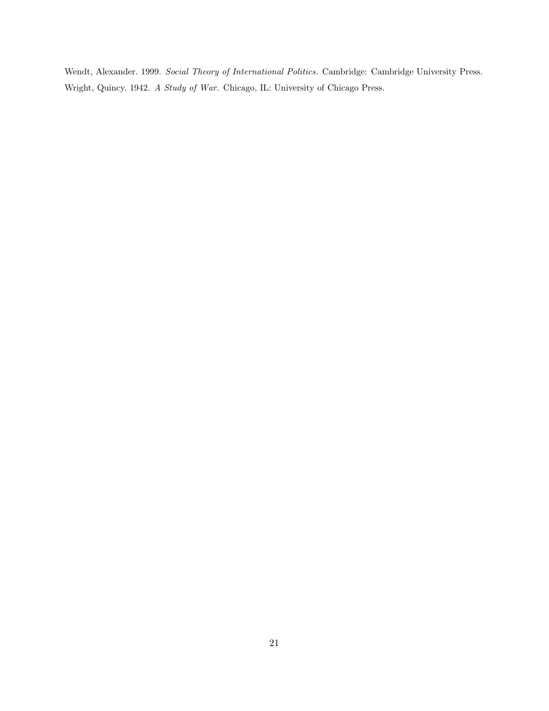Wendt, Alexander. 1999. Social Theory of International Politics. Cambridge: Cambridge University Press. Wright, Quincy. 1942. A Study of War. Chicago, IL: University of Chicago Press.